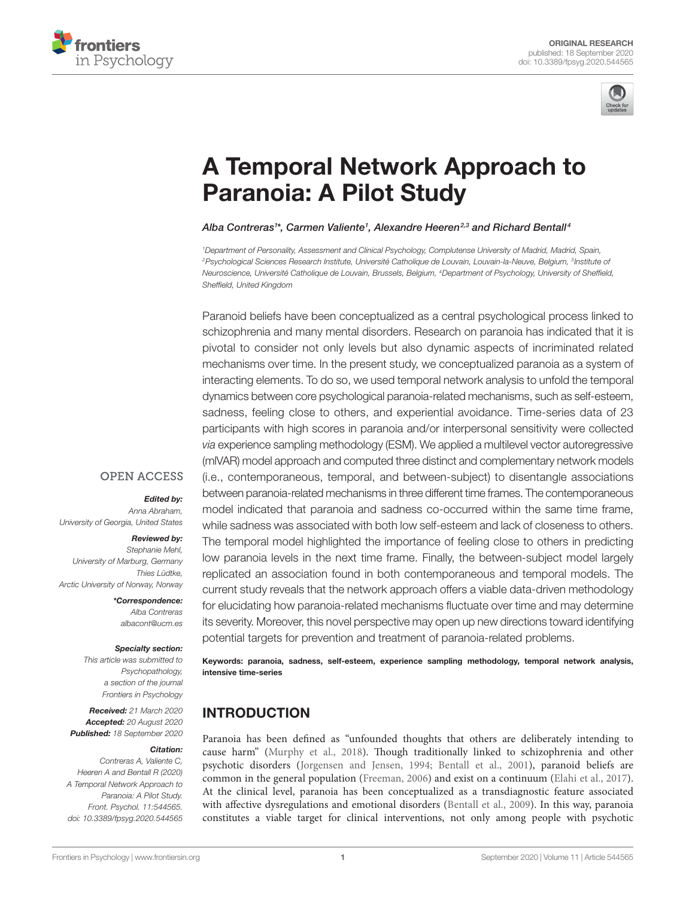



# [A Temporal Network Approach to](https://www.frontiersin.org/articles/10.3389/fpsyg.2020.544565/full)  [Paranoia: A Pilot Study](https://www.frontiersin.org/articles/10.3389/fpsyg.2020.544565/full)

#### Alba Contreras<sup>1\*</sup>, Carmen Valiente<sup>1</sup>, Alexandre Heeren<sup>2,3</sup> and Richard Bentall<sup>4</sup>

*1 Department of Personality, Assessment and Clinical Psychology, Complutense University of Madrid, Madrid, Spain, 2Psychological Sciences Research Institute, Université Catholique de Louvain, Louvain-la-Neuve, Belgium, 3Institute of Neuroscience, Université Catholique de Louvain, Brussels, Belgium, 4Department of Psychology, University of Sheffield, Sheffield, United Kingdom*

Paranoid beliefs have been conceptualized as a central psychological process linked to schizophrenia and many mental disorders. Research on paranoia has indicated that it is pivotal to consider not only levels but also dynamic aspects of incriminated related mechanisms over time. In the present study, we conceptualized paranoia as a system of interacting elements. To do so, we used temporal network analysis to unfold the temporal dynamics between core psychological paranoia-related mechanisms, such as self-esteem, sadness, feeling close to others, and experiential avoidance. Time-series data of 23 participants with high scores in paranoia and/or interpersonal sensitivity were collected *via* experience sampling methodology (ESM). We applied a multilevel vector autoregressive (mlVAR) model approach and computed three distinct and complementary network models (i.e., contemporaneous, temporal, and between-subject) to disentangle associations between paranoia-related mechanisms in three different time frames. The contemporaneous model indicated that paranoia and sadness co-occurred within the same time frame, while sadness was associated with both low self-esteem and lack of closeness to others. The temporal model highlighted the importance of feeling close to others in predicting low paranoia levels in the next time frame. Finally, the between-subject model largely replicated an association found in both contemporaneous and temporal models. The current study reveals that the network approach offers a viable data-driven methodology for elucidating how paranoia-related mechanisms fluctuate over time and may determine its severity. Moreover, this novel perspective may open up new directions toward identifying potential targets for prevention and treatment of paranoia-related problems.

Keywords: paranoia, sadness, self-esteem, experience sampling methodology, temporal network analysis, intensive time-series

# INTRODUCTION

Paranoia has been defined as "unfounded thoughts that others are deliberately intending to cause harm" ([Murphy et al., 2018\)](#page-8-0). Though traditionally linked to schizophrenia and other psychotic disorders ([Jorgensen and Jensen, 1994](#page-8-1); [Bentall et al., 2001](#page-7-0)), paranoid beliefs are common in the general population [\(Freeman, 2006](#page-8-2)) and exist on a continuum [\(Elahi et al., 2017](#page-7-1)). At the clinical level, paranoia has been conceptualized as a transdiagnostic feature associated with affective dysregulations and emotional disorders [\(Bentall et al., 2009](#page-7-2)). In this way, paranoia constitutes a viable target for clinical interventions, not only among people with psychotic

#### **OPEN ACCESS**

#### *Edited by:*

*Anna Abraham, University of Georgia, United States*

#### *Reviewed by:*

*Stephanie Mehl, University of Marburg, Germany Thies Lüdtke, Arctic University of Norway, Norway*

> *\*Correspondence: Alba Contreras [albacont@ucm.es](mailto:albacont@ucm.es)*

#### *Specialty section:*

*This article was submitted to Psychopathology, a section of the journal Frontiers in Psychology*

*Received: 21 March 2020 Accepted: 20 August 2020 Published: 18 September 2020*

#### *Citation:*

*Contreras A, Valiente C, Heeren A and Bentall R (2020) A Temporal Network Approach to Paranoia: A Pilot Study. Front. Psychol. 11:544565. [doi: 10.3389/fpsyg.2020.544565](https://doi.org/10.3389/fpsyg.2020.544565)*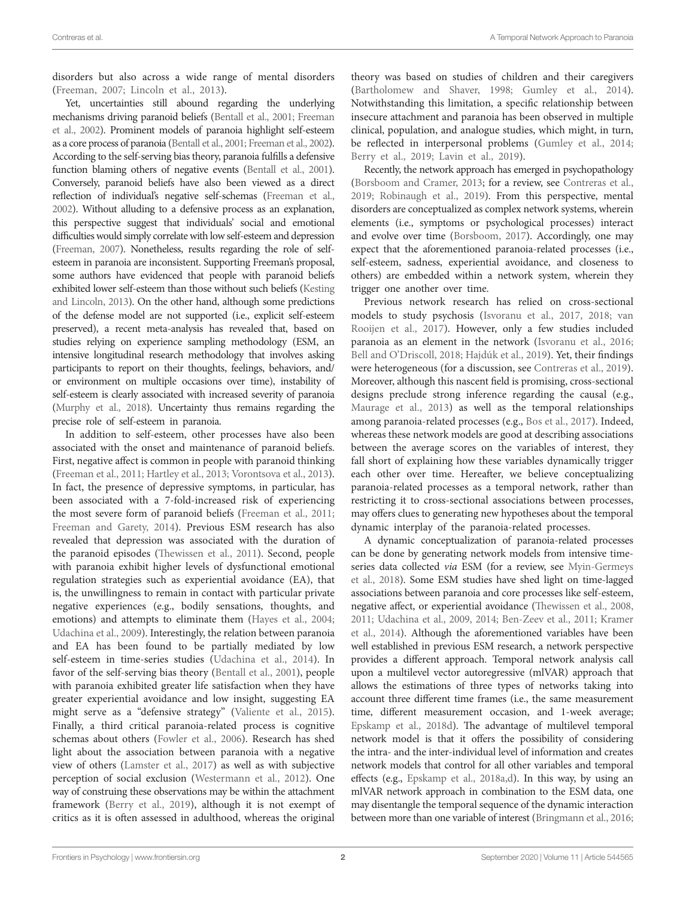disorders but also across a wide range of mental disorders ([Freeman, 2007;](#page-8-3) [Lincoln et al., 2013\)](#page-8-4).

Yet, uncertainties still abound regarding the underlying mechanisms driving paranoid beliefs [\(Bentall et al., 2001;](#page-7-0) [Freeman](#page-8-5)  [et al., 2002\)](#page-8-5). Prominent models of paranoia highlight self-esteem as a core process of paranoia [\(Bentall et al., 2001](#page-7-0); [Freeman et al., 2002](#page-8-5)). According to the self-serving bias theory, paranoia fulfills a defensive function blaming others of negative events [\(Bentall et al., 2001](#page-7-0)). Conversely, paranoid beliefs have also been viewed as a direct reflection of individual's negative self-schemas [\(Freeman et al.,](#page-8-5)  [2002\)](#page-8-5). Without alluding to a defensive process as an explanation, this perspective suggest that individuals' social and emotional difficulties would simply correlate with low self-esteem and depression [\(Freeman, 2007\)](#page-8-3). Nonetheless, results regarding the role of selfesteem in paranoia are inconsistent. Supporting Freeman's proposal, some authors have evidenced that people with paranoid beliefs exhibited lower self-esteem than those without such beliefs [\(Kesting](#page-8-6)  [and Lincoln, 2013](#page-8-6)). On the other hand, although some predictions of the defense model are not supported (i.e., explicit self-esteem preserved), a recent meta-analysis has revealed that, based on studies relying on experience sampling methodology (ESM, an intensive longitudinal research methodology that involves asking participants to report on their thoughts, feelings, behaviors, and/ or environment on multiple occasions over time), instability of self-esteem is clearly associated with increased severity of paranoia [\(Murphy et al., 2018](#page-8-0)). Uncertainty thus remains regarding the precise role of self-esteem in paranoia.

In addition to self-esteem, other processes have also been associated with the onset and maintenance of paranoid beliefs. First, negative affect is common in people with paranoid thinking ([Freeman et al., 2011](#page-8-7); [Hartley et al., 2013;](#page-8-8) [Vorontsova et al., 2013](#page-9-0)). In fact, the presence of depressive symptoms, in particular, has been associated with a 7-fold-increased risk of experiencing the most severe form of paranoid beliefs ([Freeman et al., 2011](#page-8-7); [Freeman and Garety, 2014\)](#page-8-9). Previous ESM research has also revealed that depression was associated with the duration of the paranoid episodes [\(Thewissen et al., 2011](#page-9-1)). Second, people with paranoia exhibit higher levels of dysfunctional emotional regulation strategies such as experiential avoidance (EA), that is, the unwillingness to remain in contact with particular private negative experiences (e.g., bodily sensations, thoughts, and emotions) and attempts to eliminate them ([Hayes et al., 2004](#page-8-10); [Udachina et al., 2009\)](#page-9-2). Interestingly, the relation between paranoia and EA has been found to be partially mediated by low self-esteem in time-series studies [\(Udachina et al., 2014](#page-9-3)). In favor of the self-serving bias theory ([Bentall et al., 2001](#page-7-0)), people with paranoia exhibited greater life satisfaction when they have greater experiential avoidance and low insight, suggesting EA might serve as a "defensive strategy" ([Valiente et al., 2015](#page-9-4)). Finally, a third critical paranoia-related process is cognitive schemas about others ([Fowler et al., 2006\)](#page-8-11). Research has shed light about the association between paranoia with a negative view of others ([Lamster et al., 2017\)](#page-8-12) as well as with subjective perception of social exclusion [\(Westermann et al., 2012\)](#page-9-5). One way of construing these observations may be within the attachment framework ([Berry et al., 2019](#page-7-3)), although it is not exempt of critics as it is often assessed in adulthood, whereas the original

theory was based on studies of children and their caregivers [\(Bartholomew and Shaver, 1998](#page-7-4); [Gumley et al., 2014\)](#page-8-13). Notwithstanding this limitation, a specific relationship between insecure attachment and paranoia has been observed in multiple clinical, population, and analogue studies, which might, in turn, be reflected in interpersonal problems [\(Gumley et al., 2014;](#page-8-13) [Berry et al., 2019;](#page-7-3) [Lavin et al., 2019\)](#page-8-14).

Recently, the network approach has emerged in psychopathology [\(Borsboom and Cramer, 2013;](#page-7-5) for a review, see [Contreras et al.,](#page-7-6)  [2019;](#page-7-6) [Robinaugh et al., 2019\)](#page-8-15). From this perspective, mental disorders are conceptualized as complex network systems, wherein elements (i.e., symptoms or psychological processes) interact and evolve over time ([Borsboom, 2017\)](#page-7-7). Accordingly, one may expect that the aforementioned paranoia-related processes (i.e., self-esteem, sadness, experiential avoidance, and closeness to others) are embedded within a network system, wherein they trigger one another over time.

Previous network research has relied on cross-sectional models to study psychosis ([Isvoranu et al., 2017,](#page-8-16) [2018](#page-8-17); [van](#page-9-6)  [Rooijen et al., 2017](#page-9-6)). However, only a few studies included paranoia as an element in the network ([Isvoranu et al., 2016;](#page-8-18) [Bell and O'Driscoll, 2018;](#page-7-8) [Hajdúk et al., 2019\)](#page-8-19). Yet, their findings were heterogeneous (for a discussion, see [Contreras et al., 2019](#page-7-6)). Moreover, although this nascent field is promising, cross-sectional designs preclude strong inference regarding the causal (e.g., [Maurage et al., 2013\)](#page-8-20) as well as the temporal relationships among paranoia-related processes (e.g., [Bos et al., 2017\)](#page-7-9). Indeed, whereas these network models are good at describing associations between the average scores on the variables of interest, they fall short of explaining how these variables dynamically trigger each other over time. Hereafter, we believe conceptualizing paranoia-related processes as a temporal network, rather than restricting it to cross-sectional associations between processes, may offers clues to generating new hypotheses about the temporal dynamic interplay of the paranoia-related processes.

A dynamic conceptualization of paranoia-related processes can be done by generating network models from intensive timeseries data collected *via* ESM (for a review, see [Myin-Germeys](#page-8-21)  [et al., 2018\)](#page-8-21). Some ESM studies have shed light on time-lagged associations between paranoia and core processes like self-esteem, negative affect, or experiential avoidance ([Thewissen et al., 2008,](#page-9-7) [2011;](#page-9-1) [Udachina et al., 2009,](#page-9-2) [2014;](#page-9-3) [Ben-Zeev et al., 2011](#page-7-10); [Kramer](#page-8-22)  [et al., 2014\)](#page-8-22). Although the aforementioned variables have been well established in previous ESM research, a network perspective provides a different approach. Temporal network analysis call upon a multilevel vector autoregressive (mlVAR) approach that allows the estimations of three types of networks taking into account three different time frames (i.e., the same measurement time, different measurement occasion, and 1-week average; [Epskamp et al., 2018d\)](#page-8-23). The advantage of multilevel temporal network model is that it offers the possibility of considering the intra‐ and the inter-individual level of information and creates network models that control for all other variables and temporal effects (e.g., [Epskamp et al., 2018a](#page-7-11),[d](#page-8-23)). In this way, by using an mlVAR network approach in combination to the ESM data, one may disentangle the temporal sequence of the dynamic interaction between more than one variable of interest [\(Bringmann et al., 2016;](#page-7-12)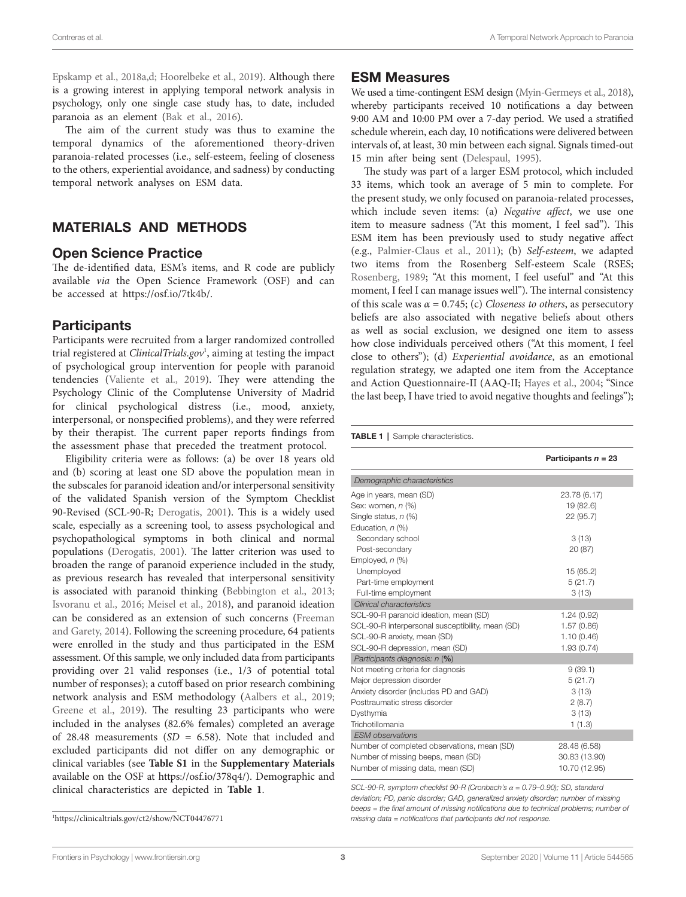[Epskamp et al., 2018a](#page-7-11)[,d](#page-8-23); [Hoorelbeke et al., 2019](#page-8-24)). Although there is a growing interest in applying temporal network analysis in psychology, only one single case study has, to date, included paranoia as an element ([Bak et al., 2016\)](#page-7-13).

The aim of the current study was thus to examine the temporal dynamics of the aforementioned theory-driven paranoia-related processes (i.e., self-esteem, feeling of closeness to the others, experiential avoidance, and sadness) by conducting temporal network analyses on ESM data.

# MATERIALS AND METHODS

## Open Science Practice

The de-identified data, ESM's items, and R code are publicly available *via* the Open Science Framework (OSF) and can be accessed at <https://osf.io/7tk4b/>.

# **Participants**

Participants were recruited from a larger randomized controlled trial registered at *[ClinicalTrials.gov](http://ClinicalTrials.gov)*[1](#page-2-0) , aiming at testing the impact of psychological group intervention for people with paranoid tendencies ([Valiente et al., 2019](#page-9-8)). They were attending the Psychology Clinic of the Complutense University of Madrid for clinical psychological distress (i.e., mood, anxiety, interpersonal, or nonspecified problems), and they were referred by their therapist. The current paper reports findings from the assessment phase that preceded the treatment protocol.

Eligibility criteria were as follows: (a) be over 18 years old and (b) scoring at least one SD above the population mean in the subscales for paranoid ideation and/or interpersonal sensitivity of the validated Spanish version of the Symptom Checklist 90-Revised (SCL-90-R; [Derogatis, 2001](#page-7-14)). This is a widely used scale, especially as a screening tool, to assess psychological and psychopathological symptoms in both clinical and normal populations ([Derogatis, 2001\)](#page-7-14). The latter criterion was used to broaden the range of paranoid experience included in the study, as previous research has revealed that interpersonal sensitivity is associated with paranoid thinking ([Bebbington et al., 2013](#page-7-15); [Isvoranu et al., 2016;](#page-8-18) [Meisel et al., 2018](#page-8-25)), and paranoid ideation can be considered as an extension of such concerns [\(Freeman](#page-8-9)  [and Garety, 2014\)](#page-8-9). Following the screening procedure, 64 patients were enrolled in the study and thus participated in the ESM assessment. Of this sample, we only included data from participants providing over 21 valid responses (i.e., 1/3 of potential total number of responses); a cutoff based on prior research combining network analysis and ESM methodology ([Aalbers et al., 2019](#page-7-16); [Greene et al., 2019](#page-8-26)). The resulting 23 participants who were included in the analyses (82.6% females) completed an average of 28.48 measurements (*SD* = 6.58). Note that included and excluded participants did not differ on any demographic or clinical variables (see **[Table S1](#page-7-17)** in the **[Supplementary Materials](#page-7-17)** available on the OSF at [https://osf.io/378q4/\)](https://osf.io/378q4/). Demographic and clinical characteristics are depicted in **[Table 1](#page-2-1)**.

#### ESM Measures

We used a time-contingent ESM design ([Myin-Germeys et al., 2018\)](#page-8-21), whereby participants received 10 notifications a day between 9:00 AM and 10:00 PM over a 7-day period. We used a stratified schedule wherein, each day, 10 notifications were delivered between intervals of, at least, 30 min between each signal. Signals timed-out 15 min after being sent ([Delespaul, 1995\)](#page-7-18).

The study was part of a larger ESM protocol, which included 33 items, which took an average of 5 min to complete. For the present study, we only focused on paranoia-related processes, which include seven items: (a) *Negative affect*, we use one item to measure sadness ("At this moment, I feel sad"). This ESM item has been previously used to study negative affect (e.g., [Palmier-Claus et al., 2011](#page-8-27)); (b) *Self-esteem*, we adapted two items from the Rosenberg Self-esteem Scale (RSES; [Rosenberg, 1989](#page-8-28); "At this moment, I feel useful" and "At this moment, I feel I can manage issues well"). The internal consistency of this scale was  $\alpha = 0.745$ ; (c) *Closeness to others*, as persecutory beliefs are also associated with negative beliefs about others as well as social exclusion, we designed one item to assess how close individuals perceived others ("At this moment, I feel close to others"); (d) *Experiential avoidance*, as an emotional regulation strategy, we adapted one item from the Acceptance and Action Questionnaire-II (AAQ-II; [Hayes et al., 2004](#page-8-10); "Since the last beep, I have tried to avoid negative thoughts and feelings");

<span id="page-2-1"></span>TABLE 1 | Sample characteristics.

|                                                  | Participants $n = 23$ |
|--------------------------------------------------|-----------------------|
| Demographic characteristics                      |                       |
| Age in years, mean (SD)                          | 23.78 (6.17)          |
| Sex: women, n (%)                                | 19 (82.6)             |
| Single status, n (%)                             | 22 (95.7)             |
| Education, n (%)                                 |                       |
| Secondary school                                 | 3(13)                 |
| Post-secondary                                   | 20 (87)               |
| Employed, n (%)                                  |                       |
| Unemployed                                       | 15 (65.2)             |
| Part-time employment                             | 5(21.7)               |
| Full-time employment                             | 3(13)                 |
| Clinical characteristics                         |                       |
| SCL-90-R paranoid ideation, mean (SD)            | 1.24(0.92)            |
| SCL-90-R interpersonal susceptibility, mean (SD) | 1.57(0.86)            |
| SCL-90-R anxiety, mean (SD)                      | 1.10(0.46)            |
| SCL-90-R depression, mean (SD)                   | 1.93(0.74)            |
| Participants diagnosis: n (%)                    |                       |
| Not meeting criteria for diagnosis               | 9(39.1)               |
| Major depression disorder                        | 5(21.7)               |
| Anxiety disorder (includes PD and GAD)           | 3(13)                 |
| Posttraumatic stress disorder                    | 2(8.7)                |
| Dysthymia                                        | 3(13)                 |
| Trichotillomania                                 | 1(1.3)                |
| <b>FSM</b> observations                          |                       |
| Number of completed observations, mean (SD)      | 28.48 (6.58)          |
| Number of missing beeps, mean (SD)               | 30.83 (13.90)         |
| Number of missing data, mean (SD)                | 10.70 (12.95)         |

*SCL-90-R, symptom checklist 90-R (Cronbach's α = 0.79–0.90); SD, standard deviation; PD, panic disorder; GAD, generalized anxiety disorder; number of missing beeps = the final amount of missing notifications due to technical problems; number of missing data = notifications that participants did not response.*

<span id="page-2-0"></span><sup>1</sup> https://clinicaltrials.gov/ct2/show/NCT04476771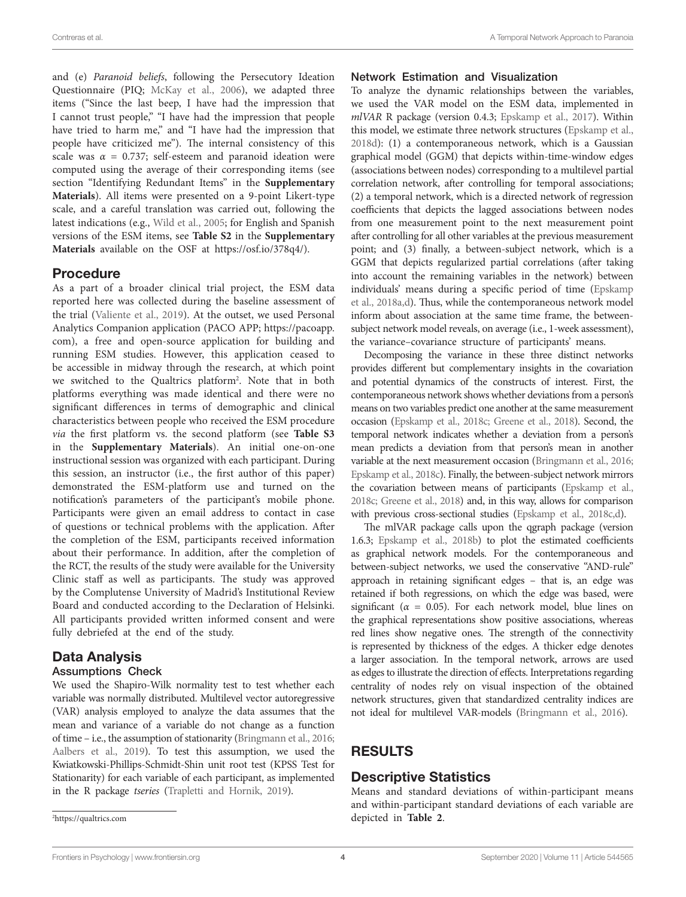and (e) *Paranoid beliefs*, following the Persecutory Ideation Questionnaire (PIQ; [McKay et al., 2006](#page-8-29)), we adapted three items ("Since the last beep, I have had the impression that I cannot trust people," "I have had the impression that people have tried to harm me," and "I have had the impression that people have criticized me"). The internal consistency of this scale was  $\alpha = 0.737$ ; self-esteem and paranoid ideation were computed using the average of their corresponding items (see section "Identifying Redundant Items" in the **[Supplementary](#page-7-17)  [Materials](#page-7-17)**). All items were presented on a 9-point Likert-type scale, and a careful translation was carried out, following the latest indications (e.g., [Wild et al., 2005](#page-9-9); for English and Spanish versions of the ESM items, see **[Table S2](#page-7-17)** in the **[Supplementary](#page-7-17)  [Materials](#page-7-17)** available on the OSF at [https://osf.io/378q4/\)](https://osf.io/378q4/).

## Procedure

As a part of a broader clinical trial project, the ESM data reported here was collected during the baseline assessment of the trial ([Valiente et al., 2019](#page-9-8)). At the outset, we used Personal Analytics Companion application (PACO APP; [https://pacoapp.](https://pacoapp.com) [com\)](https://pacoapp.com), a free and open-source application for building and running ESM studies. However, this application ceased to be accessible in midway through the research, at which point we switched to the Qualtrics platform<sup>[2](#page-3-0)</sup>. Note that in both platforms everything was made identical and there were no significant differences in terms of demographic and clinical characteristics between people who received the ESM procedure *via* the first platform vs. the second platform (see **[Table S3](#page-7-17)** in the **[Supplementary Materials](#page-7-17)**). An initial one-on-one instructional session was organized with each participant. During this session, an instructor (i.e., the first author of this paper) demonstrated the ESM-platform use and turned on the notification's parameters of the participant's mobile phone. Participants were given an email address to contact in case of questions or technical problems with the application. After the completion of the ESM, participants received information about their performance. In addition, after the completion of the RCT, the results of the study were available for the University Clinic staff as well as participants. The study was approved by the Complutense University of Madrid's Institutional Review Board and conducted according to the Declaration of Helsinki. All participants provided written informed consent and were fully debriefed at the end of the study.

# Data Analysis

#### Assumptions Check

We used the Shapiro-Wilk normality test to test whether each variable was normally distributed. Multilevel vector autoregressive (VAR) analysis employed to analyze the data assumes that the mean and variance of a variable do not change as a function of time – i.e., the assumption of stationarity [\(Bringmann et al., 2016](#page-7-12); [Aalbers et al., 2019](#page-7-16)). To test this assumption, we used the Kwiatkowski-Phillips-Schmidt-Shin unit root test (KPSS Test for Stationarity) for each variable of each participant, as implemented in the R package *tseries* ([Trapletti and Hornik, 2019\)](#page-9-10).

Network Estimation and Visualization

To analyze the dynamic relationships between the variables, we used the VAR model on the ESM data, implemented in *mlVAR* R package (version 0.4.3; [Epskamp et al., 2017\)](#page-7-19). Within this model, we estimate three network structures [\(Epskamp et al.,](#page-8-23)  [2018d\)](#page-8-23): (1) a contemporaneous network, which is a Gaussian graphical model (GGM) that depicts within-time-window edges (associations between nodes) corresponding to a multilevel partial correlation network, after controlling for temporal associations; (2) a temporal network, which is a directed network of regression coefficients that depicts the lagged associations between nodes from one measurement point to the next measurement point after controlling for all other variables at the previous measurement point; and (3) finally, a between-subject network, which is a GGM that depicts regularized partial correlations (after taking into account the remaining variables in the network) between individuals' means during a specific period of time ([Epskamp](#page-7-11)  [et al., 2018a](#page-7-11)[,d\)](#page-8-23). Thus, while the contemporaneous network model inform about association at the same time frame, the betweensubject network model reveals, on average (i.e., 1-week assessment), the variance–covariance structure of participants' means.

Decomposing the variance in these three distinct networks provides different but complementary insights in the covariation and potential dynamics of the constructs of interest. First, the contemporaneous network shows whether deviations from a person's means on two variables predict one another at the same measurement occasion [\(Epskamp et al., 2018c](#page-8-30); [Greene et al., 2018\)](#page-8-31). Second, the temporal network indicates whether a deviation from a person's mean predicts a deviation from that person's mean in another variable at the next measurement occasion [\(Bringmann et al., 2016;](#page-7-12) [Epskamp et al., 2018c\)](#page-8-30). Finally, the between-subject network mirrors the covariation between means of participants [\(Epskamp et al.,](#page-8-30)  [2018c;](#page-8-30) [Greene et al., 2018](#page-8-31)) and, in this way, allows for comparison with previous cross-sectional studies ([Epskamp et al., 2018c,](#page-8-30)[d\)](#page-8-23).

The mlVAR package calls upon the qgraph package (version 1.6.3; [Epskamp et al., 2018b\)](#page-7-20) to plot the estimated coefficients as graphical network models. For the contemporaneous and between-subject networks, we used the conservative "AND-rule" approach in retaining significant edges – that is, an edge was retained if both regressions, on which the edge was based, were significant ( $\alpha = 0.05$ ). For each network model, blue lines on the graphical representations show positive associations, whereas red lines show negative ones. The strength of the connectivity is represented by thickness of the edges. A thicker edge denotes a larger association. In the temporal network, arrows are used as edges to illustrate the direction of effects. Interpretations regarding centrality of nodes rely on visual inspection of the obtained network structures, given that standardized centrality indices are not ideal for multilevel VAR-models [\(Bringmann et al., 2016\)](#page-7-12).

# RESULTS

## Descriptive Statistics

Means and standard deviations of within-participant means and within-participant standard deviations of each variable are depicted in **[Table 2](#page-4-0)**.

<span id="page-3-0"></span><sup>2</sup> https://qualtrics.com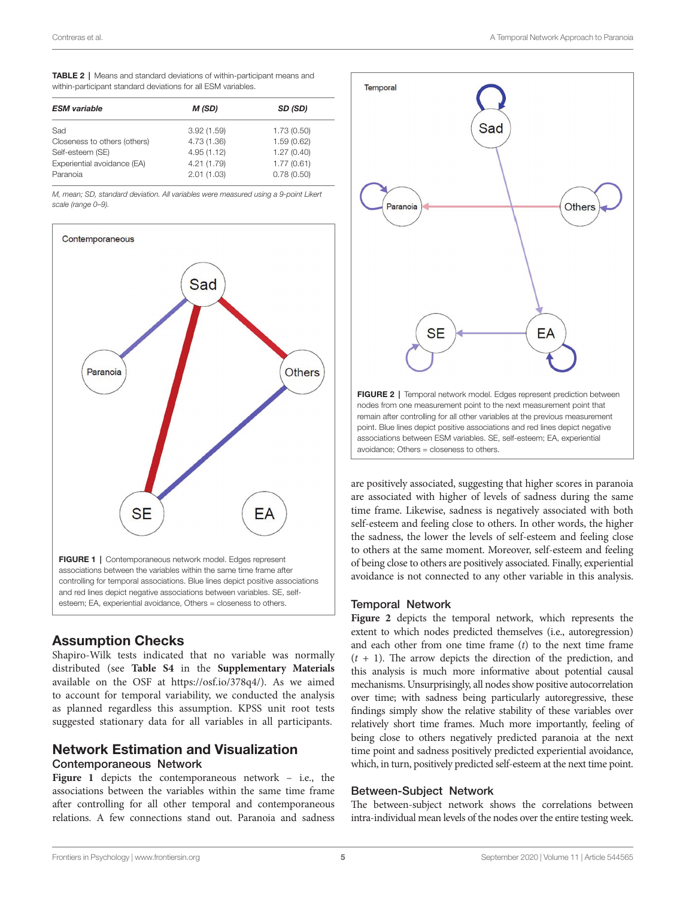<span id="page-4-0"></span>

|                                                               |  | TABLE 2   Means and standard deviations of within-participant means and |
|---------------------------------------------------------------|--|-------------------------------------------------------------------------|
| within-participant standard deviations for all ESM variables. |  |                                                                         |

| <b>ESM</b> variable          | M (SD)      | SD (SD)    |  |
|------------------------------|-------------|------------|--|
|                              |             |            |  |
| Sad                          | 3.92(1.59)  | 1.73(0.50) |  |
| Closeness to others (others) | 4.73 (1.36) | 1.59(0.62) |  |
| Self-esteem (SE)             | 4.95(1.12)  | 1.27(0.40) |  |
| Experiential avoidance (EA)  | 4.21 (1.79) | 1.77(0.61) |  |
| Paranoia                     | 2.01(1.03)  | 0.78(0.50) |  |

*M, mean; SD, standard deviation. All variables were measured using a 9-point Likert scale (range 0–9).*

<span id="page-4-1"></span>

## Assumption Checks

Shapiro-Wilk tests indicated that no variable was normally distributed (see **[Table S4](#page-7-17)** in the **[Supplementary Materials](#page-7-17)** available on the OSF at <https://osf.io/378q4/>). As we aimed to account for temporal variability, we conducted the analysis as planned regardless this assumption. KPSS unit root tests suggested stationary data for all variables in all participants.

#### Network Estimation and Visualization Contemporaneous Network

Figure 1 depicts the contemporaneous network – i.e., the associations between the variables within the same time frame after controlling for all other temporal and contemporaneous relations. A few connections stand out. Paranoia and sadness

<span id="page-4-2"></span>

are positively associated, suggesting that higher scores in paranoia are associated with higher of levels of sadness during the same time frame. Likewise, sadness is negatively associated with both self-esteem and feeling close to others. In other words, the higher the sadness, the lower the levels of self-esteem and feeling close to others at the same moment. Moreover, self-esteem and feeling of being close to others are positively associated. Finally, experiential avoidance is not connected to any other variable in this analysis.

#### Temporal Network

**[Figure 2](#page-4-2)** depicts the temporal network, which represents the extent to which nodes predicted themselves (i.e., autoregression) and each other from one time frame (*t*) to the next time frame  $(t + 1)$ . The arrow depicts the direction of the prediction, and this analysis is much more informative about potential causal mechanisms. Unsurprisingly, all nodes show positive autocorrelation over time; with sadness being particularly autoregressive, these findings simply show the relative stability of these variables over relatively short time frames. Much more importantly, feeling of being close to others negatively predicted paranoia at the next time point and sadness positively predicted experiential avoidance, which, in turn, positively predicted self-esteem at the next time point.

#### Between-Subject Network

The between-subject network shows the correlations between intra-individual mean levels of the nodes over the entire testing week.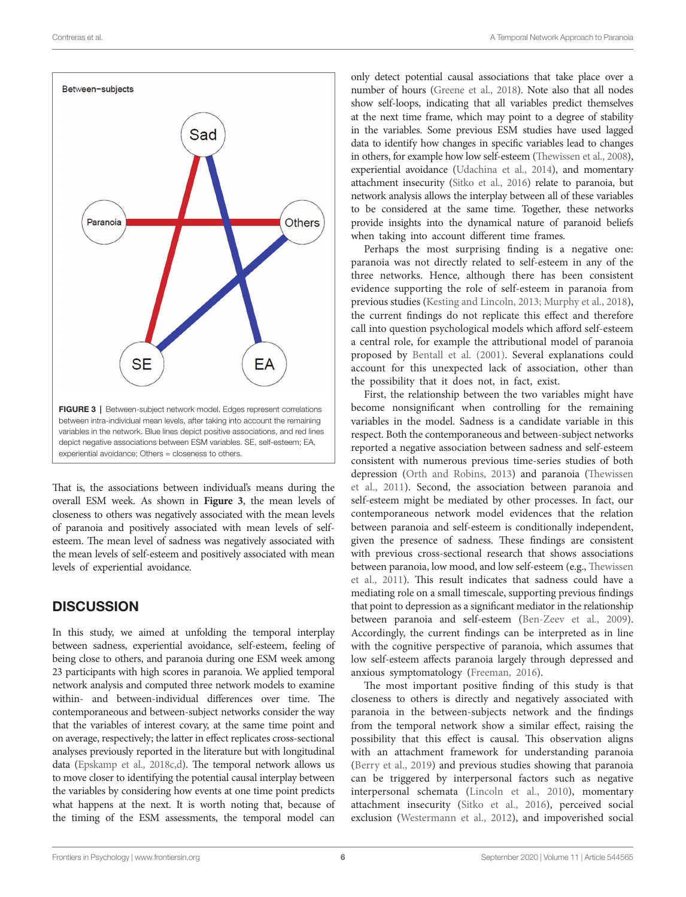<span id="page-5-0"></span>

That is, the associations between individual's means during the overall ESM week. As shown in **[Figure 3](#page-5-0)**, the mean levels of closeness to others was negatively associated with the mean levels of paranoia and positively associated with mean levels of selfesteem. The mean level of sadness was negatively associated with the mean levels of self-esteem and positively associated with mean levels of experiential avoidance.

# **DISCUSSION**

In this study, we aimed at unfolding the temporal interplay between sadness, experiential avoidance, self-esteem, feeling of being close to others, and paranoia during one ESM week among 23 participants with high scores in paranoia. We applied temporal network analysis and computed three network models to examine within‐ and between-individual differences over time. The contemporaneous and between-subject networks consider the way that the variables of interest covary, at the same time point and on average, respectively; the latter in effect replicates cross-sectional analyses previously reported in the literature but with longitudinal data ([Epskamp et al., 2018c](#page-8-30)[,d](#page-8-23)). The temporal network allows us to move closer to identifying the potential causal interplay between the variables by considering how events at one time point predicts what happens at the next. It is worth noting that, because of the timing of the ESM assessments, the temporal model can

only detect potential causal associations that take place over a number of hours ([Greene et al., 2018\)](#page-8-31). Note also that all nodes show self-loops, indicating that all variables predict themselves at the next time frame, which may point to a degree of stability in the variables. Some previous ESM studies have used lagged data to identify how changes in specific variables lead to changes in others, for example how low self-esteem [\(Thewissen et al., 2008\)](#page-9-7), experiential avoidance [\(Udachina et al., 2014](#page-9-3)), and momentary attachment insecurity [\(Sitko et al., 2016\)](#page-8-32) relate to paranoia, but network analysis allows the interplay between all of these variables to be considered at the same time. Together, these networks provide insights into the dynamical nature of paranoid beliefs when taking into account different time frames.

Perhaps the most surprising finding is a negative one: paranoia was not directly related to self-esteem in any of the three networks. Hence, although there has been consistent evidence supporting the role of self-esteem in paranoia from previous studies [\(Kesting and Lincoln, 2013;](#page-8-6) [Murphy et al., 2018\)](#page-8-0), the current findings do not replicate this effect and therefore call into question psychological models which afford self-esteem a central role, for example the attributional model of paranoia proposed by [Bentall et al. \(2001\)](#page-7-0). Several explanations could account for this unexpected lack of association, other than the possibility that it does not, in fact, exist.

First, the relationship between the two variables might have become nonsignificant when controlling for the remaining variables in the model. Sadness is a candidate variable in this respect. Both the contemporaneous and between-subject networks reported a negative association between sadness and self-esteem consistent with numerous previous time-series studies of both depression [\(Orth and Robins, 2013](#page-8-33)) and paranoia ([Thewissen](#page-9-1)  [et al., 2011](#page-9-1)). Second, the association between paranoia and self-esteem might be mediated by other processes. In fact, our contemporaneous network model evidences that the relation between paranoia and self-esteem is conditionally independent, given the presence of sadness. These findings are consistent with previous cross-sectional research that shows associations between paranoia, low mood, and low self-esteem (e.g., [Thewissen](#page-9-1)  [et al., 2011](#page-9-1)). This result indicates that sadness could have a mediating role on a small timescale, supporting previous findings that point to depression as a significant mediator in the relationship between paranoia and self-esteem [\(Ben-Zeev et al., 2009\)](#page-7-21). Accordingly, the current findings can be interpreted as in line with the cognitive perspective of paranoia, which assumes that low self-esteem affects paranoia largely through depressed and anxious symptomatology ([Freeman, 2016](#page-8-34)).

The most important positive finding of this study is that closeness to others is directly and negatively associated with paranoia in the between-subjects network and the findings from the temporal network show a similar effect, raising the possibility that this effect is causal. This observation aligns with an attachment framework for understanding paranoia [\(Berry et al., 2019\)](#page-7-3) and previous studies showing that paranoia can be triggered by interpersonal factors such as negative interpersonal schemata ([Lincoln et al., 2010](#page-8-35)), momentary attachment insecurity ([Sitko et al., 2016](#page-8-32)), perceived social exclusion ([Westermann et al., 2012](#page-9-5)), and impoverished social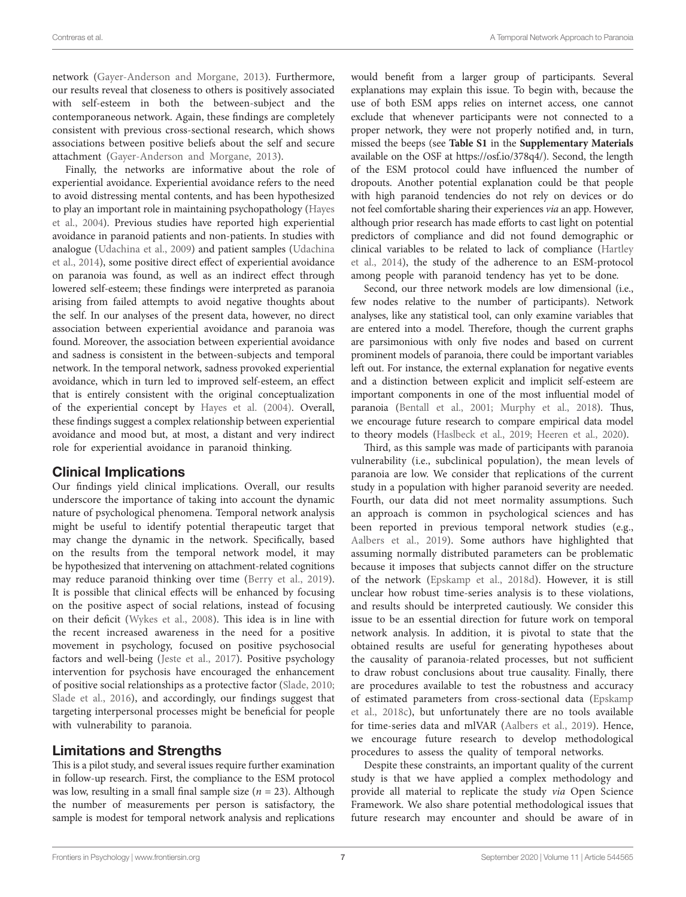network [\(Gayer-Anderson and Morgane, 2013\)](#page-8-36). Furthermore, our results reveal that closeness to others is positively associated with self-esteem in both the between-subject and the contemporaneous network. Again, these findings are completely consistent with previous cross-sectional research, which shows associations between positive beliefs about the self and secure attachment ([Gayer-Anderson and Morgane, 2013\)](#page-8-36).

Finally, the networks are informative about the role of experiential avoidance. Experiential avoidance refers to the need to avoid distressing mental contents, and has been hypothesized to play an important role in maintaining psychopathology ([Hayes](#page-8-10)  [et al., 2004\)](#page-8-10). Previous studies have reported high experiential avoidance in paranoid patients and non-patients. In studies with analogue [\(Udachina et al., 2009](#page-9-2)) and patient samples [\(Udachina](#page-9-3)  [et al., 2014](#page-9-3)), some positive direct effect of experiential avoidance on paranoia was found, as well as an indirect effect through lowered self-esteem; these findings were interpreted as paranoia arising from failed attempts to avoid negative thoughts about the self. In our analyses of the present data, however, no direct association between experiential avoidance and paranoia was found. Moreover, the association between experiential avoidance and sadness is consistent in the between-subjects and temporal network. In the temporal network, sadness provoked experiential avoidance, which in turn led to improved self-esteem, an effect that is entirely consistent with the original conceptualization of the experiential concept by [Hayes et al. \(2004\)](#page-8-10). Overall, these findings suggest a complex relationship between experiential avoidance and mood but, at most, a distant and very indirect role for experiential avoidance in paranoid thinking.

#### Clinical Implications

Our findings yield clinical implications. Overall, our results underscore the importance of taking into account the dynamic nature of psychological phenomena. Temporal network analysis might be useful to identify potential therapeutic target that may change the dynamic in the network. Specifically, based on the results from the temporal network model, it may be hypothesized that intervening on attachment-related cognitions may reduce paranoid thinking over time [\(Berry et al., 2019](#page-7-3)). It is possible that clinical effects will be enhanced by focusing on the positive aspect of social relations, instead of focusing on their deficit ([Wykes et al., 2008\)](#page-9-11). This idea is in line with the recent increased awareness in the need for a positive movement in psychology, focused on positive psychosocial factors and well-being ([Jeste et al., 2017\)](#page-8-37). Positive psychology intervention for psychosis have encouraged the enhancement of positive social relationships as a protective factor ([Slade, 2010](#page-8-38); [Slade et al., 2016\)](#page-9-12), and accordingly, our findings suggest that targeting interpersonal processes might be beneficial for people with vulnerability to paranoia.

## Limitations and Strengths

This is a pilot study, and several issues require further examination in follow-up research. First, the compliance to the ESM protocol was low, resulting in a small final sample size  $(n = 23)$ . Although the number of measurements per person is satisfactory, the sample is modest for temporal network analysis and replications would benefit from a larger group of participants. Several explanations may explain this issue. To begin with, because the use of both ESM apps relies on internet access, one cannot exclude that whenever participants were not connected to a proper network, they were not properly notified and, in turn, missed the beeps (see **[Table S1](#page-7-17)** in the **[Supplementary Materials](#page-7-17)** available on the OSF at <https://osf.io/378q4/>). Second, the length of the ESM protocol could have influenced the number of dropouts. Another potential explanation could be that people with high paranoid tendencies do not rely on devices or do not feel comfortable sharing their experiences *via* an app. However, although prior research has made efforts to cast light on potential predictors of compliance and did not found demographic or clinical variables to be related to lack of compliance [\(Hartley](#page-8-39)  [et al., 2014](#page-8-39)), the study of the adherence to an ESM-protocol among people with paranoid tendency has yet to be done.

Second, our three network models are low dimensional (i.e., few nodes relative to the number of participants). Network analyses, like any statistical tool, can only examine variables that are entered into a model. Therefore, though the current graphs are parsimonious with only five nodes and based on current prominent models of paranoia, there could be important variables left out. For instance, the external explanation for negative events and a distinction between explicit and implicit self-esteem are important components in one of the most influential model of paranoia ([Bentall et al., 2001](#page-7-0); [Murphy et al., 2018](#page-8-0)). Thus, we encourage future research to compare empirical data model to theory models [\(Haslbeck et al., 2019](#page-8-40); [Heeren et al., 2020\)](#page-8-41).

Third, as this sample was made of participants with paranoia vulnerability (i.e., subclinical population), the mean levels of paranoia are low. We consider that replications of the current study in a population with higher paranoid severity are needed. Fourth, our data did not meet normality assumptions. Such an approach is common in psychological sciences and has been reported in previous temporal network studies (e.g., [Aalbers et al., 2019](#page-7-16)). Some authors have highlighted that assuming normally distributed parameters can be problematic because it imposes that subjects cannot differ on the structure of the network ([Epskamp et al., 2018d](#page-8-23)). However, it is still unclear how robust time-series analysis is to these violations, and results should be interpreted cautiously. We consider this issue to be an essential direction for future work on temporal network analysis. In addition, it is pivotal to state that the obtained results are useful for generating hypotheses about the causality of paranoia-related processes, but not sufficient to draw robust conclusions about true causality. Finally, there are procedures available to test the robustness and accuracy of estimated parameters from cross-sectional data ([Epskamp](#page-8-30)  [et al., 2018c](#page-8-30)), but unfortunately there are no tools available for time-series data and mlVAR [\(Aalbers et al., 2019](#page-7-16)). Hence, we encourage future research to develop methodological procedures to assess the quality of temporal networks.

Despite these constraints, an important quality of the current study is that we have applied a complex methodology and provide all material to replicate the study *via* Open Science Framework. We also share potential methodological issues that future research may encounter and should be aware of in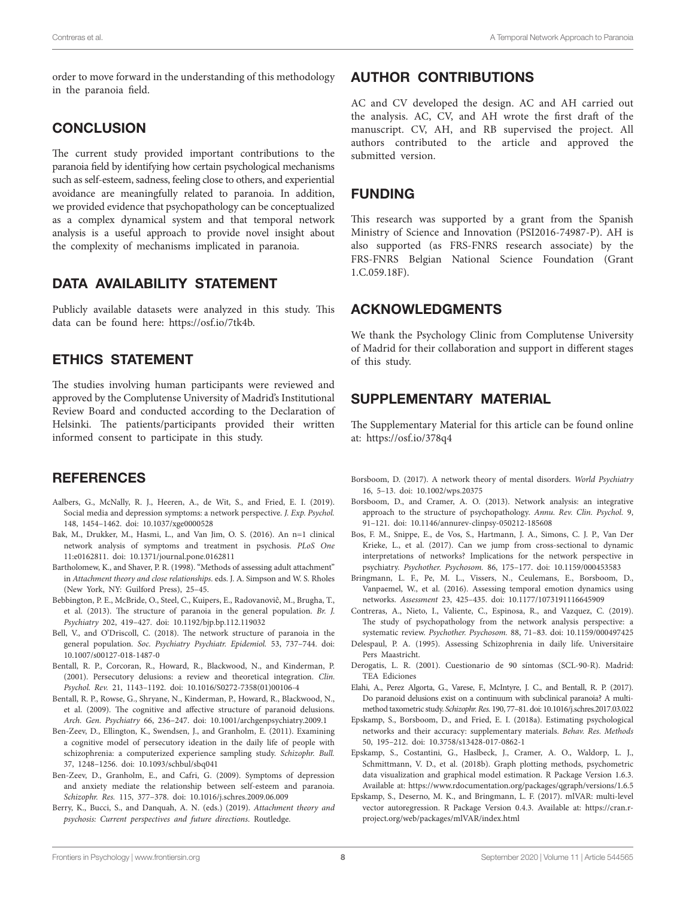order to move forward in the understanding of this methodology in the paranoia field.

# **CONCLUSION**

The current study provided important contributions to the paranoia field by identifying how certain psychological mechanisms such as self-esteem, sadness, feeling close to others, and experiential avoidance are meaningfully related to paranoia. In addition, we provided evidence that psychopathology can be conceptualized as a complex dynamical system and that temporal network analysis is a useful approach to provide novel insight about the complexity of mechanisms implicated in paranoia.

# DATA AVAILABILITY STATEMENT

Publicly available datasets were analyzed in this study. This data can be found here: <https://osf.io/7tk4b>.

# ETHICS STATEMENT

The studies involving human participants were reviewed and approved by the Complutense University of Madrid's Institutional Review Board and conducted according to the Declaration of Helsinki. The patients/participants provided their written informed consent to participate in this study.

# **REFERENCES**

- <span id="page-7-16"></span>Aalbers, G., McNally, R. J., Heeren, A., de Wit, S., and Fried, E. I. (2019). Social media and depression symptoms: a network perspective. *J. Exp. Psychol.* 148, 1454–1462. doi: [10.1037/xge0000528](https://doi.org/10.1037/xge0000528)
- <span id="page-7-13"></span>Bak, M., Drukker, M., Hasmi, L., and Van Jim, O. S. (2016). An n=1 clinical network analysis of symptoms and treatment in psychosis. *PLoS One* 11:e0162811. doi: [10.1371/journal.pone.0162811](https://doi.org/10.1371/journal.pone.0162811)
- <span id="page-7-4"></span>Bartholomew, K., and Shaver, P. R. (1998). "Methods of assessing adult attachment" in *Attachment theory and close relationships*. eds. J. A. Simpson and W. S. Rholes (New York, NY: Guilford Press), 25–45.
- <span id="page-7-15"></span>Bebbington, P. E., McBride, O., Steel, C., Kuipers, E., Radovanoviĉ, M., Brugha, T., et al. (2013). The structure of paranoia in the general population. *Br. J. Psychiatry* 202, 419–427. doi: [10.1192/bjp.bp.112.119032](https://doi.org/10.1192/bjp.bp.112.119032)
- <span id="page-7-8"></span>Bell, V., and O'Driscoll, C. (2018). The network structure of paranoia in the general population. *Soc. Psychiatry Psychiatr. Epidemiol.* 53, 737–744. doi: [10.1007/s00127-018-1487-0](https://doi.org/10.1007/s00127-018-1487-0)
- <span id="page-7-0"></span>Bentall, R. P., Corcoran, R., Howard, R., Blackwood, N., and Kinderman, P. (2001). Persecutory delusions: a review and theoretical integration. *Clin. Psychol. Rev.* 21, 1143–1192. doi: [10.1016/S0272-7358\(01\)00106-4](https://doi.org/10.1016/S0272-7358(01)00106-4)
- <span id="page-7-2"></span>Bentall, R. P., Rowse, G., Shryane, N., Kinderman, P., Howard, R., Blackwood, N., et al. (2009). The cognitive and affective structure of paranoid delusions. *Arch. Gen. Psychiatry* 66, 236–247. doi: [10.1001/archgenpsychiatry.2009.1](https://doi.org/10.1001/archgenpsychiatry.2009.1)
- <span id="page-7-10"></span>Ben-Zeev, D., Ellington, K., Swendsen, J., and Granholm, E. (2011). Examining a cognitive model of persecutory ideation in the daily life of people with schizophrenia: a computerized experience sampling study. *Schizophr. Bull.* 37, 1248–1256. doi: [10.1093/schbul/sbq041](https://doi.org/10.1093/schbul/sbq041)
- <span id="page-7-21"></span>Ben-Zeev, D., Granholm, E., and Cafri, G. (2009). Symptoms of depression and anxiety mediate the relationship between self-esteem and paranoia. *Schizophr. Res.* 115, 377–378. doi: [10.1016/j.schres.2009.06.009](https://doi.org/10.1016/j.schres.2009.06.009)
- <span id="page-7-3"></span>Berry, K., Bucci, S., and Danquah, A. N. (eds.) (2019). *Attachment theory and psychosis: Current perspectives and future directions*. Routledge.

# AUTHOR CONTRIBUTIONS

AC and CV developed the design. AC and AH carried out the analysis. AC, CV, and AH wrote the first draft of the manuscript. CV, AH, and RB supervised the project. All authors contributed to the article and approved the submitted version.

# FUNDING

This research was supported by a grant from the Spanish Ministry of Science and Innovation (PSI2016-74987-P). AH is also supported (as FRS-FNRS research associate) by the FRS-FNRS Belgian National Science Foundation (Grant 1.C.059.18F).

## ACKNOWLEDGMENTS

We thank the Psychology Clinic from Complutense University of Madrid for their collaboration and support in different stages of this study.

# <span id="page-7-17"></span>SUPPLEMENTARY MATERIAL

The Supplementary Material for this article can be found online at: <https://osf.io/378q4>

- <span id="page-7-7"></span>Borsboom, D. (2017). A network theory of mental disorders. *World Psychiatry* 16, 5–13. doi: [10.1002/wps.20375](https://doi.org/10.1002/wps.20375)
- <span id="page-7-5"></span>Borsboom, D., and Cramer, A. O. (2013). Network analysis: an integrative approach to the structure of psychopathology. *Annu. Rev. Clin. Psychol.* 9, 91–121. doi: [10.1146/annurev-clinpsy-050212-185608](https://doi.org/10.1146/annurev-clinpsy-050212-185608)
- <span id="page-7-9"></span>Bos, F. M., Snippe, E., de Vos, S., Hartmann, J. A., Simons, C. J. P., Van Der Krieke, L., et al. (2017). Can we jump from cross-sectional to dynamic interpretations of networks? Implications for the network perspective in psychiatry. *Psychother. Psychosom.* 86, 175–177. doi: [10.1159/000453583](https://doi.org/10.1159/000453583)
- <span id="page-7-12"></span>Bringmann, L. F., Pe, M. L., Vissers, N., Ceulemans, E., Borsboom, D., Vanpaemel, W., et al. (2016). Assessing temporal emotion dynamics using networks. *Assessment* 23, 425–435. doi: [10.1177/1073191116645909](https://doi.org/10.1177/1073191116645909)
- <span id="page-7-6"></span>Contreras, A., Nieto, I., Valiente, C., Espinosa, R., and Vazquez, C. (2019). The study of psychopathology from the network analysis perspective: a systematic review. *Psychother. Psychosom.* 88, 71–83. doi: [10.1159/000497425](https://doi.org/10.1159/000497425)
- <span id="page-7-18"></span>Delespaul, P. A. (1995). Assessing Schizophrenia in daily life. Universitaire Pers Maastricht.
- <span id="page-7-14"></span>Derogatis, L. R. (2001). Cuestionario de 90 síntomas (SCL-90-R). Madrid: TEA Ediciones
- <span id="page-7-1"></span>Elahi, A., Perez Algorta, G., Varese, F., McIntyre, J. C., and Bentall, R. P. (2017). Do paranoid delusions exist on a continuum with subclinical paranoia? A multimethod taxometric study. *Schizophr. Res.* 190, 77–81. doi: [10.1016/j.schres.2017.03.022](https://doi.org/10.1016/j.schres.2017.03.022)
- <span id="page-7-11"></span>Epskamp, S., Borsboom, D., and Fried, E. I. (2018a). Estimating psychological networks and their accuracy: supplementary materials. *Behav. Res. Methods* 50, 195–212. doi: [10.3758/s13428-017-0862-1](https://doi.org/10.3758/s13428-017-0862-1)
- <span id="page-7-20"></span>Epskamp, S., Costantini, G., Haslbeck, J., Cramer, A. O., Waldorp, L. J., Schmittmann, V. D., et al. (2018b). Graph plotting methods, psychometric data visualization and graphical model estimation. R Package Version 1.6.3. Available at: <https://www.rdocumentation.org/packages/qgraph/versions/1.6.5>
- <span id="page-7-19"></span>Epskamp, S., Deserno, M. K., and Bringmann, L. F. (2017). mlVAR: multi-level vector autoregression. R Package Version 0.4.3. Available at: [https://cran.r](https://cran.r-project.org/web/packages/mlVAR/index.html)[project.org/web/packages/mlVAR/index.html](https://cran.r-project.org/web/packages/mlVAR/index.html)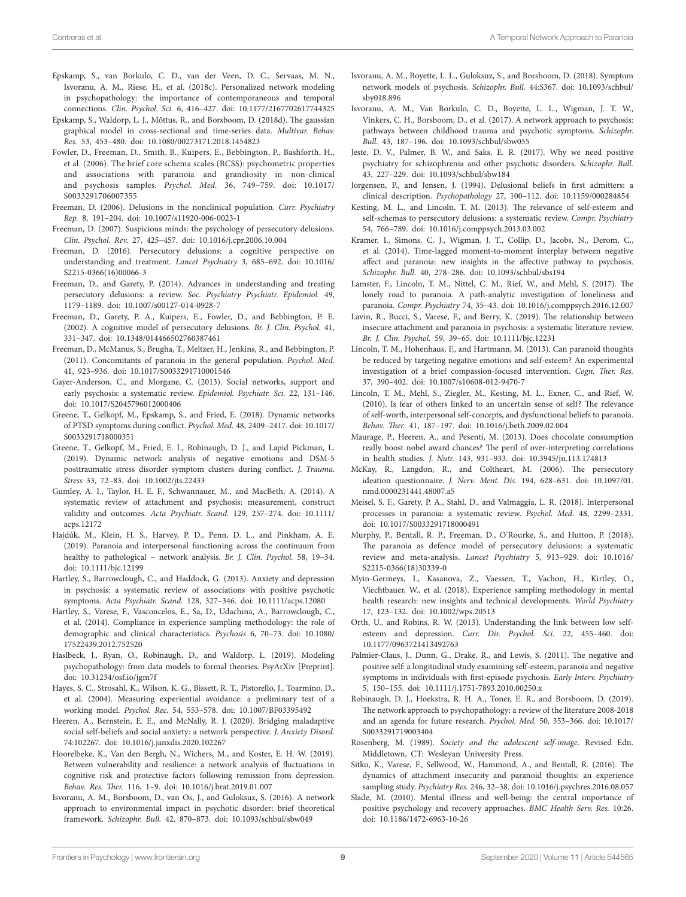- <span id="page-8-30"></span>Epskamp, S., van Borkulo, C. D., van der Veen, D. C., Servaas, M. N., Isvoranu, A. M., Riese, H., et al. (2018c). Personalized network modeling in psychopathology: the importance of contemporaneous and temporal connections. *Clin. Psychol. Sci.* 6, 416–427. doi: [10.1177/2167702617744325](https://doi.org/10.1177/2167702617744325)
- <span id="page-8-23"></span>Epskamp, S., Waldorp, L. J., Mõttus, R., and Borsboom, D. (2018d). The gaussian graphical model in cross-sectional and time-series data. *Multivar. Behav. Res.* 53, 453–480. doi: [10.1080/00273171.2018.1454823](https://doi.org/10.1080/00273171.2018.1454823)
- <span id="page-8-11"></span>Fowler, D., Freeman, D., Smith, B., Kuipers, E., Bebbington, P., Bashforth, H., et al. (2006). The brief core schema scales (BCSS): psychometric properties and associations with paranoia and grandiosity in non-clinical and psychosis samples. *Psychol. Med.* 36, 749–759. doi: [10.1017/](https://doi.org/10.1017/S0033291706007355) [S0033291706007355](https://doi.org/10.1017/S0033291706007355)
- <span id="page-8-2"></span>Freeman, D. (2006). Delusions in the nonclinical population. *Curr. Psychiatry Rep.* 8, 191–204. doi: [10.1007/s11920-006-0023-1](https://doi.org/10.1007/s11920-006-0023-1)
- <span id="page-8-3"></span>Freeman, D. (2007). Suspicious minds: the psychology of persecutory delusions. *Clin. Psychol. Rev.* 27, 425–457. doi: [10.1016/j.cpr.2006.10.004](https://doi.org/10.1016/j.cpr.2006.10.004)
- <span id="page-8-34"></span>Freeman, D. (2016). Persecutory delusions: a cognitive perspective on understanding and treatment. *Lancet Psychiatry* 3, 685–692. doi: [10.1016/](https://doi.org/10.1016/S2215-0366(16)00066-3) [S2215-0366\(16\)00066-3](https://doi.org/10.1016/S2215-0366(16)00066-3)
- <span id="page-8-9"></span>Freeman, D., and Garety, P. (2014). Advances in understanding and treating persecutory delusions: a review. *Soc. Psychiatry Psychiatr. Epidemiol.* 49, 1179–1189. doi: [10.1007/s00127-014-0928-7](https://doi.org/10.1007/s00127-014-0928-7)
- <span id="page-8-5"></span>Freeman, D., Garety, P. A., Kuipers, E., Fowler, D., and Bebbington, P. E. (2002). A cognitive model of persecutory delusions. *Br. J. Clin. Psychol.* 41, 331–347. doi: [10.1348/014466502760387461](https://doi.org/10.1348/014466502760387461)
- <span id="page-8-7"></span>Freeman, D., McManus, S., Brugha, T., Meltzer, H., Jenkins, R., and Bebbington, P. (2011). Concomitants of paranoia in the general population. *Psychol. Med.* 41, 923–936. doi: [10.1017/S0033291710001546](https://doi.org/10.1017/S0033291710001546)
- <span id="page-8-36"></span>Gayer-Anderson, C., and Morgane, C. (2013). Social networks, support and early psychosis: a systematic review. *Epidemiol. Psychiatr. Sci.* 22, 131–146. doi: [10.1017/S2045796012000406](https://doi.org/10.1017/S2045796012000406)
- <span id="page-8-31"></span>Greene, T., Gelkopf, M., Epskamp, S., and Fried, E. (2018). Dynamic networks of PTSD symptoms during conflict. *Psychol. Med.* 48, 2409–2417. doi: [10.1017/](https://doi.org/10.1017/S0033291718000351) [S0033291718000351](https://doi.org/10.1017/S0033291718000351)
- <span id="page-8-26"></span>Greene, T., Gelkopf, M., Fried, E. I., Robinaugh, D. J., and Lapid Pickman, L. (2019). Dynamic network analysis of negative emotions and DSM-5 posttraumatic stress disorder symptom clusters during conflict. *J. Trauma. Stress* 33, 72–83. doi: [10.1002/jts.22433](https://doi.org/10.1002/jts.22433)
- <span id="page-8-13"></span>Gumley, A. I., Taylor, H. E. F., Schwannauer, M., and MacBeth, A. (2014). A systematic review of attachment and psychosis: measurement, construct validity and outcomes. *Acta Psychiatr. Scand.* 129, 257–274. doi: [10.1111/](https://doi.org/10.1111/acps.12172) [acps.12172](https://doi.org/10.1111/acps.12172)
- <span id="page-8-19"></span>Hajdúk, M., Klein, H. S., Harvey, P. D., Penn, D. L., and Pinkham, A. E. (2019). Paranoia and interpersonal functioning across the continuum from healthy to pathological – network analysis. *Br. J. Clin. Psychol.* 58, 19–34. doi: [10.1111/bjc.12199](https://doi.org/10.1111/bjc.12199)
- <span id="page-8-8"></span>Hartley, S., Barrowclough, C., and Haddock, G. (2013). Anxiety and depression in psychosis: a systematic review of associations with positive psychotic symptoms. *Acta Psychiatr. Scand.* 128, 327–346. doi: [10.1111/acps.12080](https://doi.org/10.1111/acps.12080)
- <span id="page-8-39"></span>Hartley, S., Varese, F., Vasconcelos, E., Sa, D., Udachina, A., Barrowclough, C., et al. (2014). Compliance in experience sampling methodology: the role of demographic and clinical characteristics. *Psychosis* 6, 70–73. doi: [10.1080/](https://doi.org/10.1080/17522439.2012.752520) [17522439.2012.752520](https://doi.org/10.1080/17522439.2012.752520)
- <span id="page-8-40"></span>Haslbeck, J., Ryan, O., Robinaugh, D., and Waldorp, L. (2019). Modeling psychopathology: from data models to formal theories. PsyArXiv [Preprint]. doi: [10.31234/osf.io/jgm7f](https://doi.org/10.31234/osf.io/jgm7f)
- <span id="page-8-10"></span>Hayes, S. C., Strosahl, K., Wilson, K. G., Bissett, R. T., Pistorello, J., Toarmino, D., et al. (2004). Measuring experiential avoidance: a preliminary test of a working model. *Psychol. Rec.* 54, 553–578. doi: [10.1007/BF03395492](https://doi.org/10.1007/BF03395492)
- <span id="page-8-41"></span>Heeren, A., Bernstein, E. E., and McNally, R. J. (2020). Bridging maladaptive social self-beliefs and social anxiety: a network perspective. *J. Anxiety Disord.* 74:102267. doi: [10.1016/j.janxdis.2020.102267](https://doi.org/10.1016/j.janxdis.2020.102267)
- <span id="page-8-24"></span>Hoorelbeke, K., Van den Bergh, N., Wichers, M., and Koster, E. H. W. (2019). Between vulnerability and resilience: a network analysis of fluctuations in cognitive risk and protective factors following remission from depression. *Behav. Res. Ther.* 116, 1–9. doi: [10.1016/j.brat.2019.01.007](https://doi.org/10.1016/j.brat.2019.01.007)
- <span id="page-8-18"></span>Isvoranu, A. M., Borsboom, D., van Os, J., and Guloksuz, S. (2016). A network approach to environmental impact in psychotic disorder: brief theoretical framework. *Schizophr. Bull.* 42, 870–873. doi: [10.1093/schbul/sbw049](https://doi.org/10.1093/schbul/sbw049)
- <span id="page-8-17"></span>Isvoranu, A. M., Boyette, L. L., Guloksuz, S., and Borsboom, D. (2018). Symptom network models of psychosis. *Schizophr. Bull.* 44:S367. doi: [10.1093/schbul/](https://doi.org/10.1093/schbul/sby018.896) [sby018.896](https://doi.org/10.1093/schbul/sby018.896)
- <span id="page-8-16"></span>Isvoranu, A. M., Van Borkulo, C. D., Boyette, L. L., Wigman, J. T. W., Vinkers, C. H., Borsboom, D., et al. (2017). A network approach to psychosis: pathways between childhood trauma and psychotic symptoms. *Schizophr. Bull.* 43, 187–196. doi: [10.1093/schbul/sbw055](https://doi.org/10.1093/schbul/sbw055)
- <span id="page-8-37"></span>Jeste, D. V., Palmer, B. W., and Saks, E. R. (2017). Why we need positive psychiatry for schizophrenia and other psychotic disorders. *Schizophr. Bull.* 43, 227–229. doi: [10.1093/schbul/sbw184](https://doi.org/10.1093/schbul/sbw184)
- <span id="page-8-1"></span>Jorgensen, P., and Jensen, J. (1994). Delusional beliefs in first admitters: a clinical description. *Psychopathology* 27, 100–112. doi: [10.1159/000284854](https://doi.org/10.1159/000284854)
- <span id="page-8-6"></span>Kesting, M. L., and Lincoln, T. M. (2013). The relevance of self-esteem and self-schemas to persecutory delusions: a systematic review. *Compr. Psychiatry* 54, 766–789. doi: [10.1016/j.comppsych.2013.03.002](https://doi.org/10.1016/j.comppsych.2013.03.002)
- <span id="page-8-22"></span>Kramer, I., Simons, C. J., Wigman, J. T., Collip, D., Jacobs, N., Derom, C., et al. (2014). Time-lagged moment-to-moment interplay between negative affect and paranoia: new insights in the affective pathway to psychosis. *Schizophr. Bull.* 40, 278–286. doi: [10.1093/schbul/sbs194](https://doi.org/10.1093/schbul/sbs194)
- <span id="page-8-12"></span>Lamster, F., Lincoln, T. M., Nittel, C. M., Rief, W., and Mehl, S. (2017). The lonely road to paranoia. A path-analytic investigation of loneliness and paranoia. *Compr. Psychiatry* 74, 35–43. doi: [10.1016/j.comppsych.2016.12.007](https://doi.org/10.1016/j.comppsych.2016.12.007)
- <span id="page-8-14"></span>Lavin, R., Bucci, S., Varese, F., and Berry, K. (2019). The relationship between insecure attachment and paranoia in psychosis: a systematic literature review. *Br. J. Clin. Psychol.* 59, 39–65. doi: [10.1111/bjc.12231](https://doi.org/10.1111/bjc.12231)
- <span id="page-8-4"></span>Lincoln, T. M., Hohenhaus, F., and Hartmann, M. (2013). Can paranoid thoughts be reduced by targeting negative emotions and self-esteem? An experimental investigation of a brief compassion-focused intervention. *Cogn. Ther. Res.* 37, 390–402. doi: [10.1007/s10608-012-9470-7](https://doi.org/10.1007/s10608-012-9470-7)
- <span id="page-8-35"></span>Lincoln, T. M., Mehl, S., Ziegler, M., Kesting, M. L., Exner, C., and Rief, W. (2010). Is fear of others linked to an uncertain sense of self? The relevance of self-worth, interpersonal self-concepts, and dysfunctional beliefs to paranoia. *Behav. Ther.* 41, 187–197. doi: [10.1016/j.beth.2009.02.004](https://doi.org/10.1016/j.beth.2009.02.004)
- <span id="page-8-20"></span>Maurage, P., Heeren, A., and Pesenti, M. (2013). Does chocolate consumption really boost nobel award chances? The peril of over-interpreting correlations in health studies. *J. Nutr.* 143, 931–933. doi: [10.3945/jn.113.174813](https://doi.org/10.3945/jn.113.174813)
- <span id="page-8-29"></span>McKay, R., Langdon, R., and Coltheart, M. (2006). The persecutory ideation questionnaire. *J. Nerv. Ment. Dis.* 194, 628–631. doi: [10.1097/01.](https://doi.org/10.1097/01.nmd.0000231441.48007.a5) [nmd.0000231441.48007.a5](https://doi.org/10.1097/01.nmd.0000231441.48007.a5)
- <span id="page-8-25"></span>Meisel, S. F., Garety, P. A., Stahl, D., and Valmaggia, L. R. (2018). Interpersonal processes in paranoia: a systematic review. *Psychol. Med.* 48, 2299–2331. doi: [10.1017/S0033291718000491](https://doi.org/10.1017/S0033291718000491)
- <span id="page-8-0"></span>Murphy, P., Bentall, R. P., Freeman, D., O'Rourke, S., and Hutton, P. (2018). The paranoia as defence model of persecutory delusions: a systematic review and meta-analysis. *Lancet Psychiatry* 5, 913–929. doi: [10.1016/](https://doi.org/10.1016/S2215-0366(18)30339-0) [S2215-0366\(18\)30339-0](https://doi.org/10.1016/S2215-0366(18)30339-0)
- <span id="page-8-21"></span>Myin-Germeys, I., Kasanova, Z., Vaessen, T., Vachon, H., Kirtley, O., Viechtbauer, W., et al. (2018). Experience sampling methodology in mental health research: new insights and technical developments. *World Psychiatry* 17, 123–132. doi: [10.1002/wps.20513](https://doi.org/10.1002/wps.20513)
- <span id="page-8-33"></span>Orth, U., and Robins, R. W. (2013). Understanding the link between low selfesteem and depression. *Curr. Dir. Psychol. Sci.* 22, 455–460. doi: [10.1177/0963721413492763](https://doi.org/10.1177/0963721413492763)
- <span id="page-8-27"></span>Palmier-Claus, J., Dunn, G., Drake, R., and Lewis, S. (2011). The negative and positive self: a longitudinal study examining self-esteem, paranoia and negative symptoms in individuals with first-episode psychosis. *Early Interv. Psychiatry* 5, 150–155. doi: [10.1111/j.1751-7893.2010.00250.x](https://doi.org/10.1111/j.1751-7893.2010.00250.x)
- <span id="page-8-15"></span>Robinaugh, D. J., Hoekstra, R. H. A., Toner, E. R., and Borsboom, D. (2019). The network approach to psychopathology: a review of the literature 2008-2018 and an agenda for future research. *Psychol. Med.* 50, 353–366. doi: [10.1017/](https://doi.org/10.1017/S0033291719003404) [S0033291719003404](https://doi.org/10.1017/S0033291719003404)
- <span id="page-8-28"></span>Rosenberg, M. (1989). *Society and the adolescent self-image*. Revised Edn. Middletown, CT: Wesleyan University Press.
- <span id="page-8-32"></span>Sitko, K., Varese, F., Sellwood, W., Hammond, A., and Bentall, R. (2016). The dynamics of attachment insecurity and paranoid thoughts: an experience sampling study. *Psychiatry Res.* 246, 32–38. doi: [10.1016/j.psychres.2016.08.057](https://doi.org/10.1016/j.psychres.2016.08.057)
- <span id="page-8-38"></span>Slade, M. (2010). Mental illness and well-being: the central importance of positive psychology and recovery approaches. *BMC Health Serv. Res.* 10:26. doi: [10.1186/1472-6963-10-26](https://doi.org/10.1186/1472-6963-10-26)